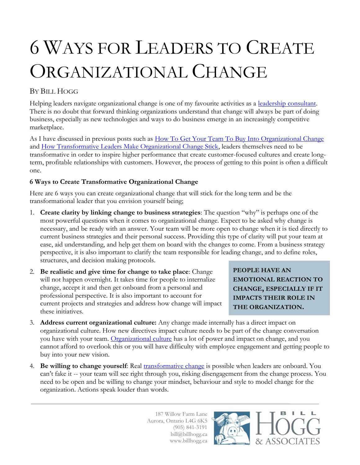## 6 WAYS FOR LEADERS TO CREATE ORGANIZATIONAL CHANGE

## BY BILL HOGG

Helping leaders navigate organizational change is one of my favourite activities as a [leadership consultant.](http://www.billhogg.ca/consulting/leadership/) There is no doubt that forward thinking organizations understand that change will always be part of doing business, especially as new technologies and ways to do business emerge in an increasingly competitive marketplace.

As I have discussed in previous posts such as [How To Get Your Team To Buy Into Organizational Change](http://www.billhogg.ca/2014/02/how-to-get-your-team-to-buy-into-organizational-change/) and [How Transformative Leaders Make Organizational Change Stick,](http://www.billhogg.ca/2013/10/how-transformational-leaders-make-organizational-change-stick/) leaders themselves need to be transformative in order to inspire higher performance that create customer-focused cultures and create longterm, profitable relationships with customers. However, the process of getting to this point is often a difficult one.

## **6 Ways to Create Transformative Organizational Change**

Here are 6 ways you can create organizational change that will stick for the long term and be the transformational leader that you envision yourself being;

- 1. **Create clarity by linking change to business strategies**: The question "why" is perhaps one of the most powerful questions when it comes to organizational change. Expect to be asked why change is necessary, and be ready with an answer. Your team will be more open to change when it is tied directly to current business strategies and their personal success. Providing this type of clarity will put your team at ease, aid understanding, and help get them on board with the changes to come. From a business strategy perspective, it is also important to clarify the team responsible for leading change, and to define roles, structures, and decision making protocols.
- 2. **Be realistic and give time for change to take place**: Change will not happen overnight. It takes time for people to internalize change, accept it and then get onboard from a personal and professional perspective. It is also important to account for current projects and strategies and address how change will impact these initiatives.

**PEOPLE HAVE AN EMOTIONAL REACTION TO CHANGE, ESPECIALLY IF IT IMPACTS THEIR ROLE IN THE ORGANIZATION.**

- 3. **Address current organizational culture:** Any change made internally has a direct impact on organizational culture. How new directives impact culture needs to be part of the change conversation you have with your team. [Organizational culture](http://www.billhogg.ca/2013/04/how-to-build-your-organizational-culture-based-on-trust-and-collaboration/) has a lot of power and impact on change, and you cannot afford to overlook this or you will have difficulty with employee engagement and getting people to buy into your new vision.
- 4. **Be willing to change yourself**: Real [transformative change](http://www.billhogg.ca/2014/01/leadership-consulting-series-transformative-leadership-and-change-realization/) is possible when leaders are onboard. You can't fake it -- your team will see right through you, risking disengagement from the change process. You need to be open and be willing to change your mindset, behaviour and style to model change for the organization. Actions speak louder than words.

187 Willow Farm Lane Aurora, Ontario L4G 6K5 (905) 841-3191 bill@billhogg.ca www.billhogg.ca